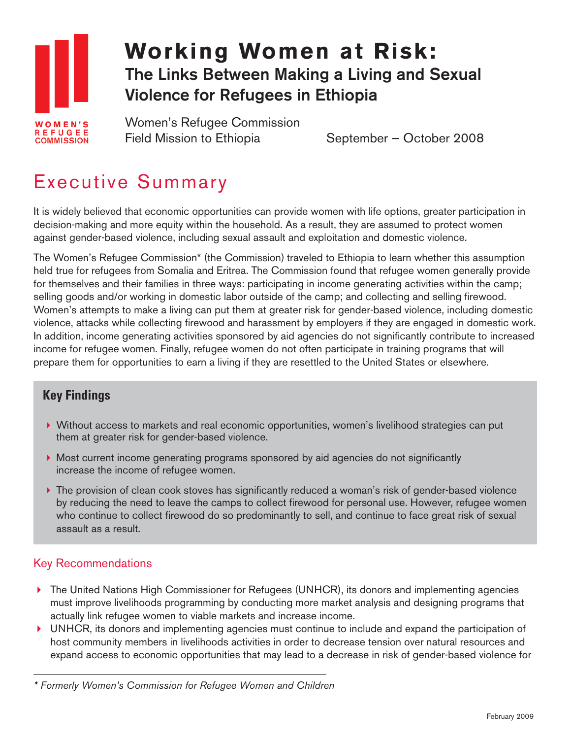

## **The Links Between Making a Living and Sexual Violence for Refugees in Ethiopia Working Women at Risk:**

Women's Refugee Commission Field Mission to Ethiopia September – October 2008

## Executive Summary

It is widely believed that economic opportunities can provide women with life options, greater participation in decision-making and more equity within the household. As a result, they are assumed to protect women against gender-based violence, including sexual assault and exploitation and domestic violence.

The Women's Refugee Commission\* (the Commission) traveled to Ethiopia to learn whether this assumption held true for refugees from Somalia and Eritrea. The Commission found that refugee women generally provide for themselves and their families in three ways: participating in income generating activities within the camp; selling goods and/or working in domestic labor outside of the camp; and collecting and selling firewood. Women's attempts to make a living can put them at greater risk for gender-based violence, including domestic violence, attacks while collecting firewood and harassment by employers if they are engaged in domestic work. In addition, income generating activities sponsored by aid agencies do not significantly contribute to increased income for refugee women. Finally, refugee women do not often participate in training programs that will prepare them for opportunities to earn a living if they are resettled to the United States or elsewhere.

## **Key Findings**

- Without access to markets and real economic opportunities, women's livelihood strategies can put them at greater risk for gender-based violence.
- ▶ Most current income generating programs sponsored by aid agencies do not significantly increase the income of refugee women.
- ▶ The provision of clean cook stoves has significantly reduced a woman's risk of gender-based violence by reducing the need to leave the camps to collect firewood for personal use. However, refugee women who continue to collect firewood do so predominantly to sell, and continue to face great risk of sexual assault as a result.

## Key Recommendations

- ▶ The United Nations High Commissioner for Refugees (UNHCR), its donors and implementing agencies must improve livelihoods programming by conducting more market analysis and designing programs that actually link refugee women to viable markets and increase income.
- $\blacktriangleright$  UNHCR, its donors and implementing agencies must continue to include and expand the participation of host community members in livelihoods activities in order to decrease tension over natural resources and expand access to economic opportunities that may lead to a decrease in risk of gender-based violence for

*<sup>\*</sup> Formerly Women's Commission for Refugee Women and Children*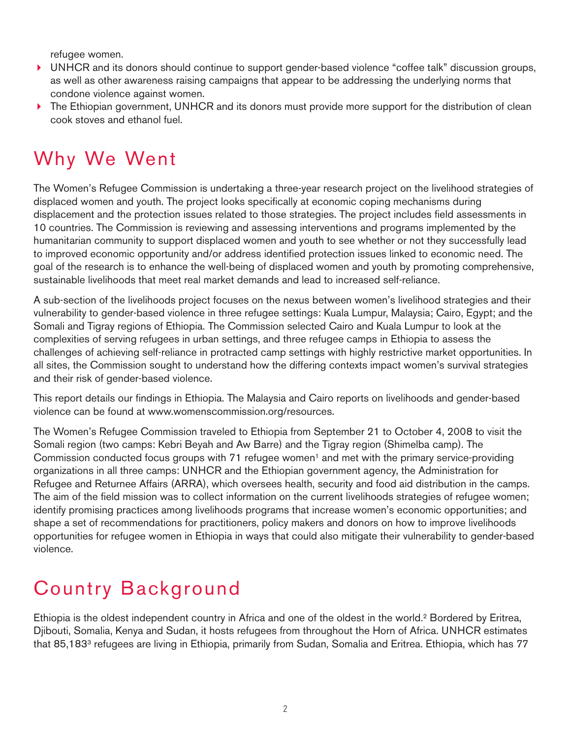refugee women.

- ▶ UNHCR and its donors should continue to support gender-based violence "coffee talk" discussion groups, as well as other awareness raising campaigns that appear to be addressing the underlying norms that condone violence against women.
- ▶ The Ethiopian government, UNHCR and its donors must provide more support for the distribution of clean cook stoves and ethanol fuel.

## Why We Went

The Women's Refugee Commission is undertaking a three-year research project on the livelihood strategies of displaced women and youth. The project looks specifically at economic coping mechanisms during displacement and the protection issues related to those strategies. The project includes field assessments in 10 countries. The Commission is reviewing and assessing interventions and programs implemented by the humanitarian community to support displaced women and youth to see whether or not they successfully lead to improved economic opportunity and/or address identified protection issues linked to economic need. The goal of the research is to enhance the well-being of displaced women and youth by promoting comprehensive, sustainable livelihoods that meet real market demands and lead to increased self-reliance.

A sub-section of the livelihoods project focuses on the nexus between women's livelihood strategies and their vulnerability to gender-based violence in three refugee settings: Kuala Lumpur, Malaysia; Cairo, Egypt; and the Somali and Tigray regions of Ethiopia. The Commission selected Cairo and Kuala Lumpur to look at the complexities of serving refugees in urban settings, and three refugee camps in Ethiopia to assess the challenges of achieving self-reliance in protracted camp settings with highly restrictive market opportunities. In all sites, the Commission sought to understand how the differing contexts impact women's survival strategies and their risk of gender-based violence.

This report details our findings in Ethiopia. The Malaysia and Cairo reports on livelihoods and gender-based violence can be found at www.womenscommission.org/resources.

The Women's Refugee Commission traveled to Ethiopia from September 21 to October 4, 2008 to visit the Somali region (two camps: Kebri Beyah and Aw Barre) and the Tigray region (Shimelba camp). The Commission conducted focus groups with 71 refugee women<sup>1</sup> and met with the primary service-providing organizations in all three camps: UNHCR and the Ethiopian government agency, the Administration for Refugee and Returnee Affairs (ARRA), which oversees health, security and food aid distribution in the camps. The aim of the field mission was to collect information on the current livelihoods strategies of refugee women; identify promising practices among livelihoods programs that increase women's economic opportunities; and shape a set of recommendations for practitioners, policy makers and donors on how to improve livelihoods opportunities for refugee women in Ethiopia in ways that could also mitigate their vulnerability to gender-based violence.

## Country Background

Ethiopia is the oldest independent country in Africa and one of the oldest in the world.2 Bordered by Eritrea, Djibouti, Somalia, Kenya and Sudan, it hosts refugees from throughout the Horn of Africa. UNHCR estimates that 85,1833 refugees are living in Ethiopia, primarily from Sudan, Somalia and Eritrea. Ethiopia, which has 77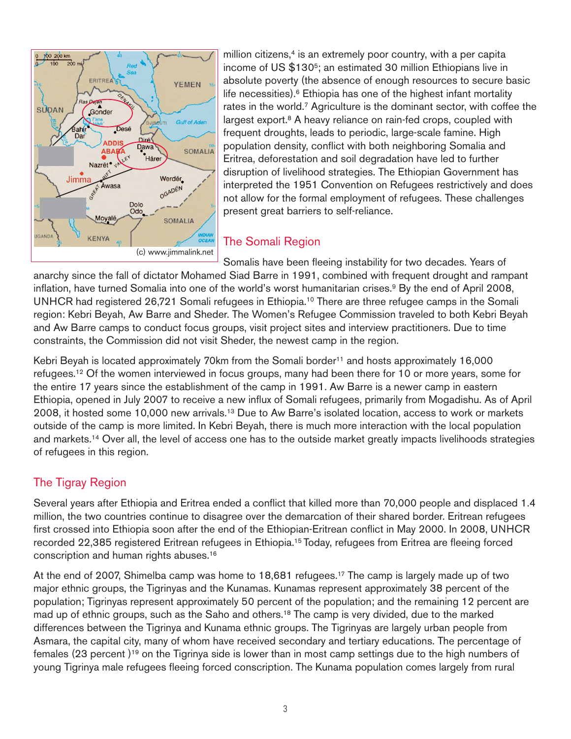

million citizens, $4$  is an extremely poor country, with a per capita income of US \$130<sup>5</sup>; an estimated 30 million Ethiopians live in absolute poverty (the absence of enough resources to secure basic life necessities).<sup>6</sup> Ethiopia has one of the highest infant mortality rates in the world.7 Agriculture is the dominant sector, with coffee the largest export.<sup>8</sup> A heavy reliance on rain-fed crops, coupled with frequent droughts, leads to periodic, large-scale famine. High population density, conflict with both neighboring Somalia and Eritrea, deforestation and soil degradation have led to further disruption of livelihood strategies. The Ethiopian Government has interpreted the 1951 Convention on Refugees restrictively and does not allow for the formal employment of refugees. These challenges present great barriers to self-reliance.

## The Somali Region

Somalis have been fleeing instability for two decades. Years of anarchy since the fall of dictator Mohamed Siad Barre in 1991, combined with frequent drought and rampant inflation, have turned Somalia into one of the world's worst humanitarian crises.<sup>9</sup> By the end of April 2008, UNHCR had registered 26,721 Somali refugees in Ethiopia.10 There are three refugee camps in the Somali region: Kebri Beyah, Aw Barre and Sheder. The Women's Refugee Commission traveled to both Kebri Beyah and Aw Barre camps to conduct focus groups, visit project sites and interview practitioners. Due to time constraints, the Commission did not visit Sheder, the newest camp in the region.

Kebri Beyah is located approximately 70km from the Somali border<sup>11</sup> and hosts approximately 16,000 refugees.12 Of the women interviewed in focus groups, many had been there for 10 or more years, some for the entire 17 years since the establishment of the camp in 1991. Aw Barre is a newer camp in eastern Ethiopia, opened in July 2007 to receive a new influx of Somali refugees, primarily from Mogadishu. As of April 2008, it hosted some 10,000 new arrivals.13 Due to Aw Barre's isolated location, access to work or markets outside of the camp is more limited. In Kebri Beyah, there is much more interaction with the local population and markets.14 Over all, the level of access one has to the outside market greatly impacts livelihoods strategies of refugees in this region.

## The Tigray Region

Several years after Ethiopia and Eritrea ended a conflict that killed more than 70,000 people and displaced 1.4 million, the two countries continue to disagree over the demarcation of their shared border. Eritrean refugees first crossed into Ethiopia soon after the end of the Ethiopian-Eritrean conflict in May 2000. In 2008, UNHCR recorded 22,385 registered Eritrean refugees in Ethiopia.15 Today, refugees from Eritrea are fleeing forced conscription and human rights abuses.16

At the end of 2007, Shimelba camp was home to 18,681 refugees.<sup>17</sup> The camp is largely made up of two major ethnic groups, the Tigrinyas and the Kunamas. Kunamas represent approximately 38 percent of the population; Tigrinyas represent approximately 50 percent of the population; and the remaining 12 percent are mad up of ethnic groups, such as the Saho and others.18 The camp is very divided, due to the marked differences between the Tigrinya and Kunama ethnic groups. The Tigrinyas are largely urban people from Asmara, the capital city, many of whom have received secondary and tertiary educations. The percentage of females (23 percent )19 on the Tigrinya side is lower than in most camp settings due to the high numbers of young Tigrinya male refugees fleeing forced conscription. The Kunama population comes largely from rural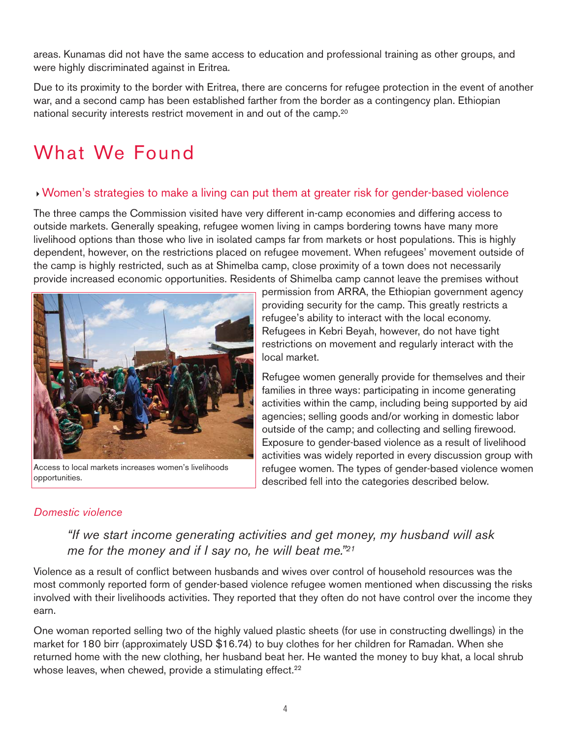areas. Kunamas did not have the same access to education and professional training as other groups, and were highly discriminated against in Eritrea.

Due to its proximity to the border with Eritrea, there are concerns for refugee protection in the event of another war, and a second camp has been established farther from the border as a contingency plan. Ethiopian national security interests restrict movement in and out of the camp.20

# What We Found

### -Women's strategies to make a living can put them at greater risk for gender-based violence

The three camps the Commission visited have very different in-camp economies and differing access to outside markets. Generally speaking, refugee women living in camps bordering towns have many more livelihood options than those who live in isolated camps far from markets or host populations. This is highly dependent, however, on the restrictions placed on refugee movement. When refugees' movement outside of the camp is highly restricted, such as at Shimelba camp, close proximity of a town does not necessarily provide increased economic opportunities. Residents of Shimelba camp cannot leave the premises without

local market.



Access to local markets increases women's livelihoods opportunities.

Refugee women generally provide for themselves and their families in three ways: participating in income generating activities within the camp, including being supported by aid agencies; selling goods and/or working in domestic labor outside of the camp; and collecting and selling firewood. Exposure to gender-based violence as a result of livelihood

permission from ARRA, the Ethiopian government agency providing security for the camp. This greatly restricts a refugee's ability to interact with the local economy. Refugees in Kebri Beyah, however, do not have tight restrictions on movement and regularly interact with the

activities was widely reported in every discussion group with refugee women. The types of gender-based violence women described fell into the categories described below.

## *Domestic violence*

## *"If we start income generating activities and get money, my husband will ask me for the money and if I say no, he will beat me."21*

Violence as a result of conflict between husbands and wives over control of household resources was the most commonly reported form of gender-based violence refugee women mentioned when discussing the risks involved with their livelihoods activities. They reported that they often do not have control over the income they earn.

One woman reported selling two of the highly valued plastic sheets (for use in constructing dwellings) in the market for 180 birr (approximately USD \$16.74) to buy clothes for her children for Ramadan. When she returned home with the new clothing, her husband beat her. He wanted the money to buy khat, a local shrub whose leaves, when chewed, provide a stimulating effect.<sup>22</sup>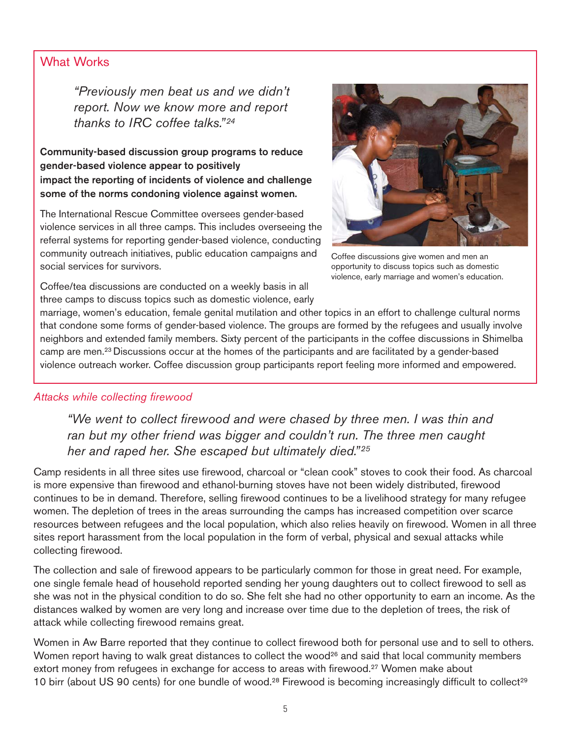### What Works

*"Previously men beat us and we didn't report. Now we know more and report thanks to IRC coffee talks." <sup>24</sup>*

**Community-based discussion group programs to reduce gender-based violence appear to positively impact the reporting of incidents of violence and challenge some of the norms condoning violence against women.** 

The International Rescue Committee oversees gender-based violence services in all three camps. This includes overseeing the referral systems for reporting gender-based violence, conducting community outreach initiatives, public education campaigns and social services for survivors.



Coffee discussions give women and men an opportunity to discuss topics such as domestic violence, early marriage and women's education.

Coffee/tea discussions are conducted on a weekly basis in all three camps to discuss topics such as domestic violence, early

marriage, women's education, female genital mutilation and other topics in an effort to challenge cultural norms that condone some forms of gender-based violence. The groups are formed by the refugees and usually involve neighbors and extended family members. Sixty percent of the participants in the coffee discussions in Shimelba camp are men.23 Discussions occur at the homes of the participants and are facilitated by a gender-based violence outreach worker. Coffee discussion group participants report feeling more informed and empowered.

#### *Attacks while collecting firewood*

*"We went to collect firewood and were chased by three men. I was thin and ran but my other friend was bigger and couldn't run. The three men caught her and raped her. She escaped but ultimately died." <sup>25</sup>*

Camp residents in all three sites use firewood, charcoal or "clean cook" stoves to cook their food. As charcoal is more expensive than firewood and ethanol-burning stoves have not been widely distributed, firewood continues to be in demand. Therefore, selling firewood continues to be a livelihood strategy for many refugee women. The depletion of trees in the areas surrounding the camps has increased competition over scarce resources between refugees and the local population, which also relies heavily on firewood. Women in all three sites report harassment from the local population in the form of verbal, physical and sexual attacks while collecting firewood.

The collection and sale of firewood appears to be particularly common for those in great need. For example, one single female head of household reported sending her young daughters out to collect firewood to sell as she was not in the physical condition to do so. She felt she had no other opportunity to earn an income. As the distances walked by women are very long and increase over time due to the depletion of trees, the risk of attack while collecting firewood remains great.

Women in Aw Barre reported that they continue to collect firewood both for personal use and to sell to others. Women report having to walk great distances to collect the wood<sup>26</sup> and said that local community members extort money from refugees in exchange for access to areas with firewood.<sup>27</sup> Women make about 10 birr (about US 90 cents) for one bundle of wood.<sup>28</sup> Firewood is becoming increasingly difficult to collect<sup>29</sup>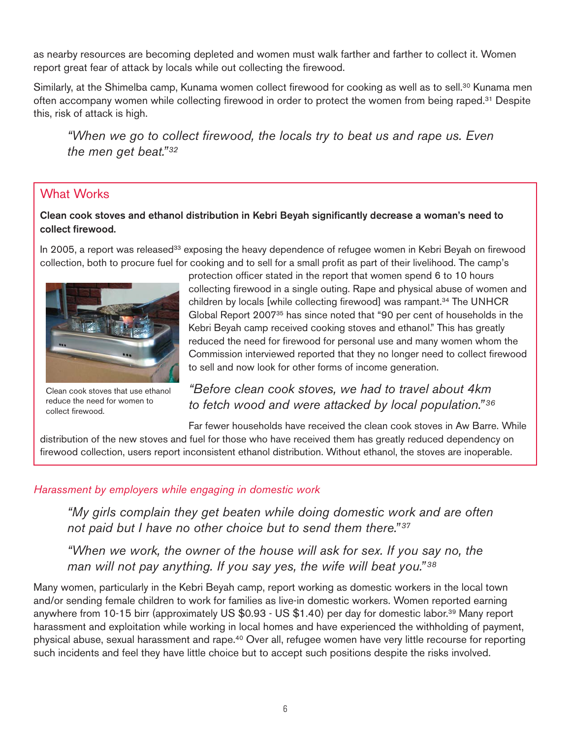as nearby resources are becoming depleted and women must walk farther and farther to collect it. Women report great fear of attack by locals while out collecting the firewood.

Similarly, at the Shimelba camp, Kunama women collect firewood for cooking as well as to sell.<sup>30</sup> Kunama men often accompany women while collecting firewood in order to protect the women from being raped.31 Despite this, risk of attack is high.

*"When we go to collect firewood, the locals try to beat us and rape us. Even the men get beat." <sup>32</sup>*

## What Works

#### **Clean cook stoves and ethanol distribution in Kebri Beyah significantly decrease a woman's need to collect firewood.**

In 2005, a report was released<sup>33</sup> exposing the heavy dependence of refugee women in Kebri Beyah on firewood collection, both to procure fuel for cooking and to sell for a small profit as part of their livelihood. The camp's



Clean cook stoves that use ethanol reduce the need for women to collect firewood.

protection officer stated in the report that women spend 6 to 10 hours collecting firewood in a single outing. Rape and physical abuse of women and children by locals [while collecting firewood] was rampant.34 The UNHCR Global Report 200735 has since noted that "90 per cent of households in the Kebri Beyah camp received cooking stoves and ethanol." This has greatly reduced the need for firewood for personal use and many women whom the Commission interviewed reported that they no longer need to collect firewood to sell and now look for other forms of income generation.

## *"Before clean cook stoves, we had to travel about 4km to fetch wood and were attacked by local population." <sup>36</sup>*

Far fewer households have received the clean cook stoves in Aw Barre. While distribution of the new stoves and fuel for those who have received them has greatly reduced dependency on firewood collection, users report inconsistent ethanol distribution. Without ethanol, the stoves are inoperable.

#### *Harassment by employers while engaging in domestic work*

*"My girls complain they get beaten while doing domestic work and are often not paid but I have no other choice but to send them there." <sup>37</sup>*

*"When we work, the owner of the house will ask for sex. If you say no, the man will not pay anything. If you say yes, the wife will beat you." <sup>38</sup>*

Many women, particularly in the Kebri Beyah camp, report working as domestic workers in the local town and/or sending female children to work for families as live-in domestic workers. Women reported earning anywhere from 10-15 birr (approximately US \$0.93 - US \$1.40) per day for domestic labor.<sup>39</sup> Many report harassment and exploitation while working in local homes and have experienced the withholding of payment, physical abuse, sexual harassment and rape.40 Over all, refugee women have very little recourse for reporting such incidents and feel they have little choice but to accept such positions despite the risks involved.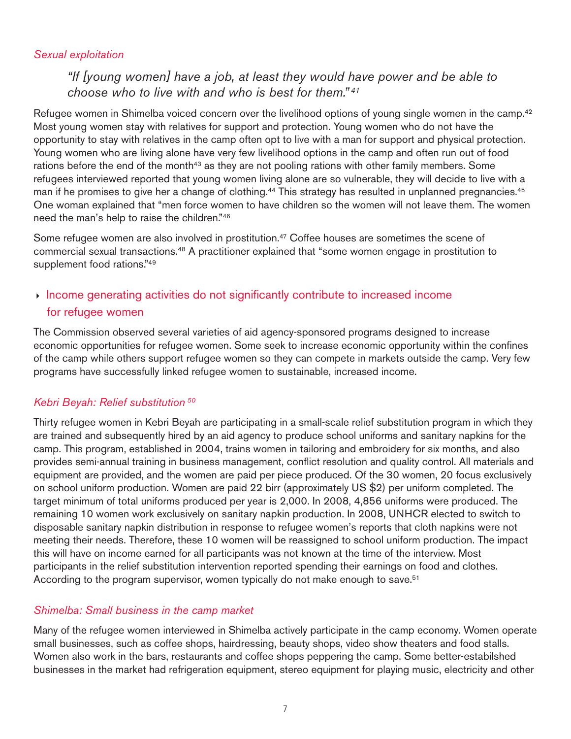#### *Sexual exploitation*

## *"If [young women] have a job, at least they would have power and be able to choose who to live with and who is best for them." <sup>41</sup>*

Refugee women in Shimelba voiced concern over the livelihood options of young single women in the camp.<sup>42</sup> Most young women stay with relatives for support and protection. Young women who do not have the opportunity to stay with relatives in the camp often opt to live with a man for support and physical protection. Young women who are living alone have very few livelihood options in the camp and often run out of food rations before the end of the month<sup>43</sup> as they are not pooling rations with other family members. Some refugees interviewed reported that young women living alone are so vulnerable, they will decide to live with a man if he promises to give her a change of clothing.<sup>44</sup> This strategy has resulted in unplanned pregnancies.<sup>45</sup> One woman explained that "men force women to have children so the women will not leave them. The women need the man's help to raise the children."46

Some refugee women are also involved in prostitution.<sup>47</sup> Coffee houses are sometimes the scene of commercial sexual transactions.48 A practitioner explained that "some women engage in prostitution to supplement food rations."<sup>49</sup>

## - Income generating activities do not significantly contribute to increased income for refugee women

The Commission observed several varieties of aid agency-sponsored programs designed to increase economic opportunities for refugee women. Some seek to increase economic opportunity within the confines of the camp while others support refugee women so they can compete in markets outside the camp. Very few programs have successfully linked refugee women to sustainable, increased income.

#### *Kebri Beyah: Relief substitution <sup>50</sup>*

Thirty refugee women in Kebri Beyah are participating in a small-scale relief substitution program in which they are trained and subsequently hired by an aid agency to produce school uniforms and sanitary napkins for the camp. This program, established in 2004, trains women in tailoring and embroidery for six months, and also provides semi-annual training in business management, conflict resolution and quality control. All materials and equipment are provided, and the women are paid per piece produced. Of the 30 women, 20 focus exclusively on school uniform production. Women are paid 22 birr (approximately US \$2) per uniform completed. The target minimum of total uniforms produced per year is 2,000. In 2008, 4,856 uniforms were produced. The remaining 10 women work exclusively on sanitary napkin production. In 2008, UNHCR elected to switch to disposable sanitary napkin distribution in response to refugee women's reports that cloth napkins were not meeting their needs. Therefore, these 10 women will be reassigned to school uniform production. The impact this will have on income earned for all participants was not known at the time of the interview. Most participants in the relief substitution intervention reported spending their earnings on food and clothes. According to the program supervisor, women typically do not make enough to save.<sup>51</sup>

#### *Shimelba: Small business in the camp market*

Many of the refugee women interviewed in Shimelba actively participate in the camp economy. Women operate small businesses, such as coffee shops, hairdressing, beauty shops, video show theaters and food stalls. Women also work in the bars, restaurants and coffee shops peppering the camp. Some better-estabilshed businesses in the market had refrigeration equipment, stereo equipment for playing music, electricity and other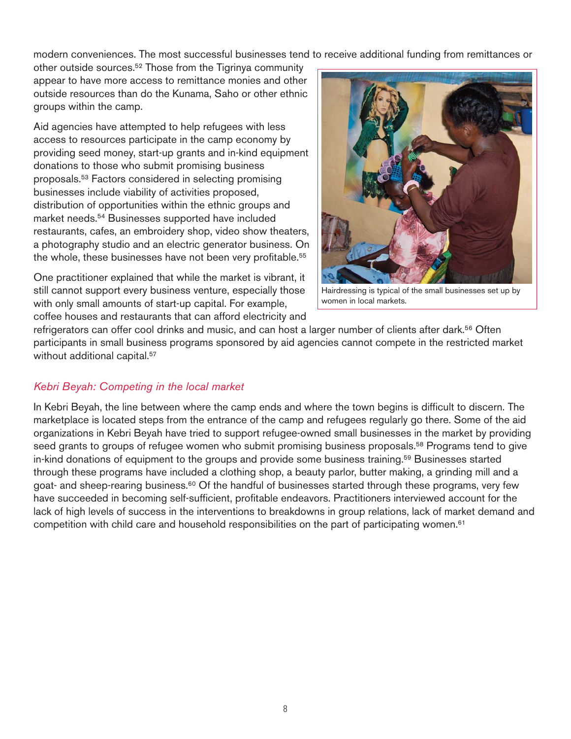modern conveniences. The most successful businesses tend to receive additional funding from remittances or

other outside sources.52 Those from the Tigrinya community appear to have more access to remittance monies and other outside resources than do the Kunama, Saho or other ethnic groups within the camp.

Aid agencies have attempted to help refugees with less access to resources participate in the camp economy by providing seed money, start-up grants and in-kind equipment donations to those who submit promising business proposals.53 Factors considered in selecting promising businesses include viability of activities proposed, distribution of opportunities within the ethnic groups and market needs.54 Businesses supported have included restaurants, cafes, an embroidery shop, video show theaters, a photography studio and an electric generator business. On the whole, these businesses have not been very profitable.<sup>55</sup>

One practitioner explained that while the market is vibrant, it still cannot support every business venture, especially those with only small amounts of start-up capital. For example, coffee houses and restaurants that can afford electricity and



Hairdressing is typical of the small businesses set up by women in local markets.

refrigerators can offer cool drinks and music, and can host a larger number of clients after dark.56 Often participants in small business programs sponsored by aid agencies cannot compete in the restricted market without additional capital.<sup>57</sup>

#### *Kebri Beyah: Competing in the local market*

In Kebri Beyah, the line between where the camp ends and where the town begins is difficult to discern. The marketplace is located steps from the entrance of the camp and refugees regularly go there. Some of the aid organizations in Kebri Beyah have tried to support refugee-owned small businesses in the market by providing seed grants to groups of refugee women who submit promising business proposals.<sup>58</sup> Programs tend to give in-kind donations of equipment to the groups and provide some business training.59 Businesses started through these programs have included a clothing shop, a beauty parlor, butter making, a grinding mill and a goat- and sheep-rearing business.<sup>60</sup> Of the handful of businesses started through these programs, very few have succeeded in becoming self-sufficient, profitable endeavors. Practitioners interviewed account for the lack of high levels of success in the interventions to breakdowns in group relations, lack of market demand and competition with child care and household responsibilities on the part of participating women.<sup>61</sup>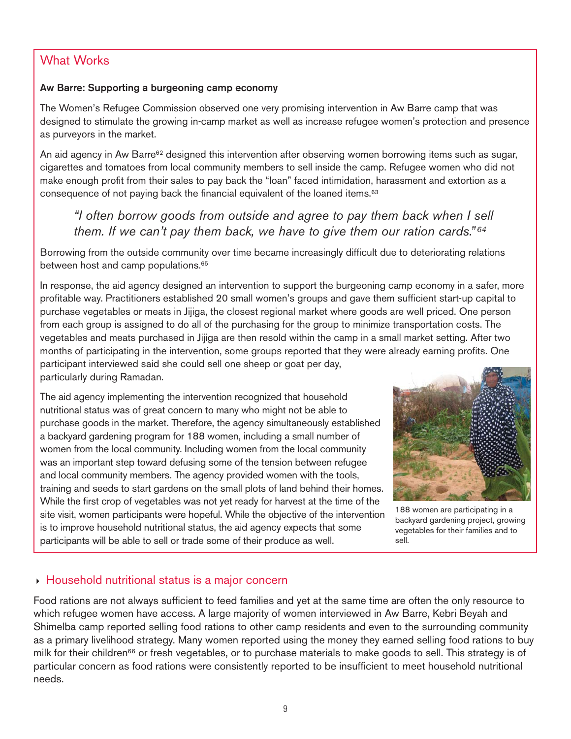#### **Aw Barre: Supporting a burgeoning camp economy**

The Women's Refugee Commission observed one very promising intervention in Aw Barre camp that was designed to stimulate the growing in-camp market as well as increase refugee women's protection and presence as purveyors in the market.

An aid agency in Aw Barre<sup>62</sup> designed this intervention after observing women borrowing items such as sugar, cigarettes and tomatoes from local community members to sell inside the camp. Refugee women who did not make enough profit from their sales to pay back the "loan" faced intimidation, harassment and extortion as a consequence of not paying back the financial equivalent of the loaned items.<sup>63</sup>

## *"I often borrow goods from outside and agree to pay them back when I sell them. If we can't pay them back, we have to give them our ration cards." <sup>64</sup>*

Borrowing from the outside community over time became increasingly difficult due to deteriorating relations between host and camp populations.<sup>65</sup>

In response, the aid agency designed an intervention to support the burgeoning camp economy in a safer, more profitable way. Practitioners established 20 small women's groups and gave them sufficient start-up capital to purchase vegetables or meats in Jijiga, the closest regional market where goods are well priced. One person from each group is assigned to do all of the purchasing for the group to minimize transportation costs. The vegetables and meats purchased in Jijiga are then resold within the camp in a small market setting. After two months of participating in the intervention, some groups reported that they were already earning profits. One participant interviewed said she could sell one sheep or goat per day, particularly during Ramadan.

The aid agency implementing the intervention recognized that household nutritional status was of great concern to many who might not be able to purchase goods in the market. Therefore, the agency simultaneously established a backyard gardening program for 188 women, including a small number of women from the local community. Including women from the local community was an important step toward defusing some of the tension between refugee and local community members. The agency provided women with the tools, training and seeds to start gardens on the small plots of land behind their homes. While the first crop of vegetables was not yet ready for harvest at the time of the site visit, women participants were hopeful. While the objective of the intervention is to improve household nutritional status, the aid agency expects that some participants will be able to sell or trade some of their produce as well.



188 women are participating in a backyard gardening project, growing vegetables for their families and to sell.

## - Household nutritional status is a major concern

Food rations are not always sufficient to feed families and yet at the same time are often the only resource to which refugee women have access. A large majority of women interviewed in Aw Barre, Kebri Beyah and Shimelba camp reported selling food rations to other camp residents and even to the surrounding community as a primary livelihood strategy. Many women reported using the money they earned selling food rations to buy milk for their children<sup>66</sup> or fresh vegetables, or to purchase materials to make goods to sell. This strategy is of particular concern as food rations were consistently reported to be insufficient to meet household nutritional needs.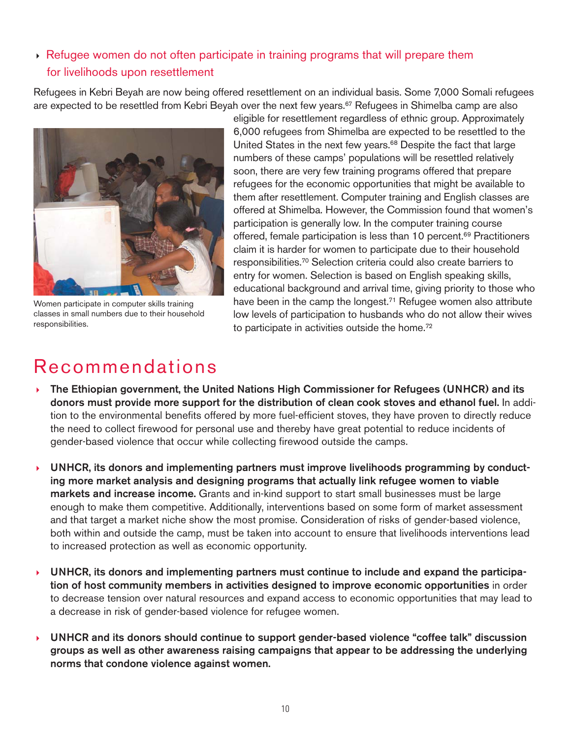## - Refugee women do not often participate in training programs that will prepare them for livelihoods upon resettlement

Refugees in Kebri Beyah are now being offered resettlement on an individual basis. Some 7,000 Somali refugees are expected to be resettled from Kebri Beyah over the next few years.<sup>67</sup> Refugees in Shimelba camp are also



Women participate in computer skills training classes in small numbers due to their household responsibilities.

eligible for resettlement regardless of ethnic group. Approximately 6,000 refugees from Shimelba are expected to be resettled to the United States in the next few years.<sup>68</sup> Despite the fact that large numbers of these camps' populations will be resettled relatively soon, there are very few training programs offered that prepare refugees for the economic opportunities that might be available to them after resettlement. Computer training and English classes are offered at Shimelba. However, the Commission found that women's participation is generally low. In the computer training course offered, female participation is less than 10 percent.<sup>69</sup> Practitioners claim it is harder for women to participate due to their household responsibilities.70 Selection criteria could also create barriers to entry for women. Selection is based on English speaking skills, educational background and arrival time, giving priority to those who have been in the camp the longest.<sup>71</sup> Refugee women also attribute low levels of participation to husbands who do not allow their wives to participate in activities outside the home.<sup>72</sup>

## Recommendations

- $\mathbf{F}$  **The Ethiopian government, the United Nations High Commissioner for Refugees (UNHCR) and its donors must provide more support for the distribution of clean cook stoves and ethanol fuel.** In addition to the environmental benefits offered by more fuel-efficient stoves, they have proven to directly reduce the need to collect firewood for personal use and thereby have great potential to reduce incidents of gender-based violence that occur while collecting firewood outside the camps.
- - **UNHCR, its donors and implementing partners must improve livelihoods programming by conducting more market analysis and designing programs that actually link refugee women to viable markets and increase income.** Grants and in-kind support to start small businesses must be large enough to make them competitive. Additionally, interventions based on some form of market assessment and that target a market niche show the most promise. Consideration of risks of gender-based violence, both within and outside the camp, must be taken into account to ensure that livelihoods interventions lead to increased protection as well as economic opportunity.
- $\mathbf{r}$  **UNHCR, its donors and implementing partners must continue to include and expand the participation of host community members in activities designed to improve economic opportunities** in order to decrease tension over natural resources and expand access to economic opportunities that may lead to a decrease in risk of gender-based violence for refugee women.
- $\mathbf{F}$  **UNHCR and its donors should continue to support gender-based violence "coffee talk" discussion groups as well as other awareness raising campaigns that appear to be addressing the underlying norms that condone violence against women.**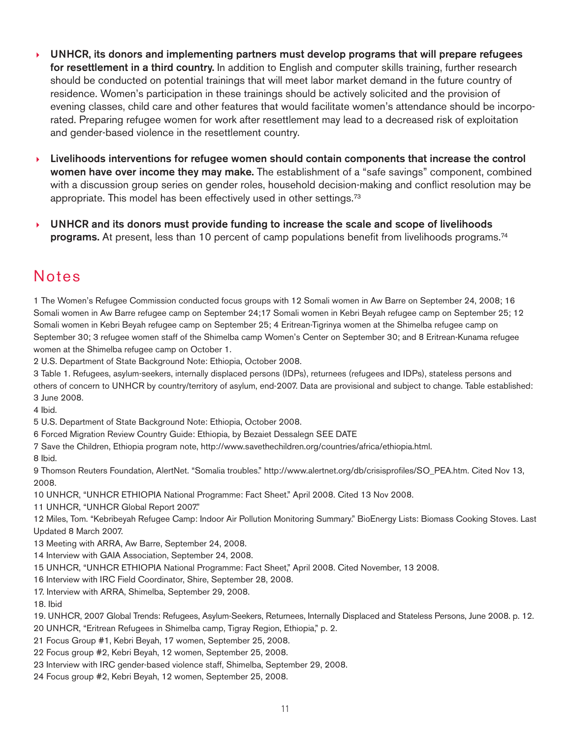- - **UNHCR, its donors and implementing partners must develop programs that will prepare refugees for resettlement in a third country.** In addition to English and computer skills training, further research should be conducted on potential trainings that will meet labor market demand in the future country of residence. Women's participation in these trainings should be actively solicited and the provision of evening classes, child care and other features that would facilitate women's attendance should be incorporated. Preparing refugee women for work after resettlement may lead to a decreased risk of exploitation and gender-based violence in the resettlement country.
- $\mathbf{F}$  **Livelihoods interventions for refugee women should contain components that increase the control women have over income they may make.** The establishment of a "safe savings" component, combined with a discussion group series on gender roles, household decision-making and conflict resolution may be appropriate. This model has been effectively used in other settings.73
- - **UNHCR and its donors must provide funding to increase the scale and scope of livelihoods programs.** At present, less than 10 percent of camp populations benefit from livelihoods programs.<sup>74</sup>

## Notes

1 The Women's Refugee Commission conducted focus groups with 12 Somali women in Aw Barre on September 24, 2008; 16 Somali women in Aw Barre refugee camp on September 24;17 Somali women in Kebri Beyah refugee camp on September 25; 12 Somali women in Kebri Beyah refugee camp on September 25; 4 Eritrean-Tigrinya women at the Shimelba refugee camp on September 30; 3 refugee women staff of the Shimelba camp Women's Center on September 30; and 8 Eritrean-Kunama refugee women at the Shimelba refugee camp on October 1.

2 U.S. Department of State Background Note: Ethiopia, October 2008.

3 Table 1. Refugees, asylum-seekers, internally displaced persons (IDPs), returnees (refugees and IDPs), stateless persons and others of concern to UNHCR by country/territory of asylum, end-2007. Data are provisional and subject to change. Table established: 3 June 2008.

4 Ibid.

5 U.S. Department of State Background Note: Ethiopia, October 2008.

6 Forced Migration Review Country Guide: Ethiopia, by Bezaiet Dessalegn SEE DATE

7 Save the Children, Ethiopia program note, http://www.savethechildren.org/countries/africa/ethiopia.html.

8 Ibid.

9 Thomson Reuters Foundation, AlertNet. "Somalia troubles." http://www.alertnet.org/db/crisisprofiles/SO\_PEA.htm. Cited Nov 13, 2008.

10 UNHCR, "UNHCR ETHIOPIA National Programme: Fact Sheet." April 2008. Cited 13 Nov 2008.

11 UNHCR, "UNHCR Global Report 2007."

12 Miles, Tom. "Kebribeyah Refugee Camp: Indoor Air Pollution Monitoring Summary." BioEnergy Lists: Biomass Cooking Stoves. Last Updated 8 March 2007.

13 Meeting with ARRA, Aw Barre, September 24, 2008.

14 Interview with GAIA Association, September 24, 2008.

15 UNHCR, "UNHCR ETHIOPIA National Programme: Fact Sheet," April 2008. Cited November, 13 2008.

16 Interview with IRC Field Coordinator, Shire, September 28, 2008.

17. Interview with ARRA, Shimelba, September 29, 2008.

18. Ibid

19. UNHCR, 2007 Global Trends: Refugees, Asylum-Seekers, Returnees, Internally Displaced and Stateless Persons, June 2008. p. 12.

20 UNHCR, "Eritrean Refugees in Shimelba camp, Tigray Region, Ethiopia," p. 2.

21 Focus Group #1, Kebri Beyah, 17 women, September 25, 2008.

22 Focus group #2, Kebri Beyah, 12 women, September 25, 2008.

23 Interview with IRC gender-based violence staff, Shimelba, September 29, 2008.

24 Focus group #2, Kebri Beyah, 12 women, September 25, 2008.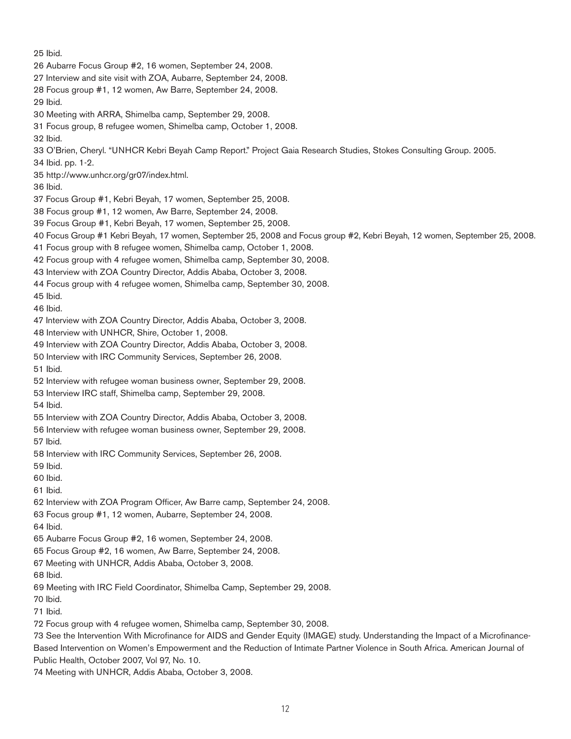25 Ibid.

- 26 Aubarre Focus Group #2, 16 women, September 24, 2008.
- 27 Interview and site visit with ZOA, Aubarre, September 24, 2008.
- 28 Focus group #1, 12 women, Aw Barre, September 24, 2008.
- 29 Ibid.
- 30 Meeting with ARRA, Shimelba camp, September 29, 2008.
- 31 Focus group, 8 refugee women, Shimelba camp, October 1, 2008.
- 32 Ibid.

33 O'Brien, Cheryl. "UNHCR Kebri Beyah Camp Report." Project Gaia Research Studies, Stokes Consulting Group. 2005.

- 34 Ibid. pp. 1-2.
- 35 http://www.unhcr.org/gr07/index.html.

36 Ibid.

- 37 Focus Group #1, Kebri Beyah, 17 women, September 25, 2008.
- 38 Focus group #1, 12 women, Aw Barre, September 24, 2008.
- 39 Focus Group #1, Kebri Beyah, 17 women, September 25, 2008.
- 40 Focus Group #1 Kebri Beyah, 17 women, September 25, 2008 and Focus group #2, Kebri Beyah, 12 women, September 25, 2008.
- 41 Focus group with 8 refugee women, Shimelba camp, October 1, 2008.
- 42 Focus group with 4 refugee women, Shimelba camp, September 30, 2008.
- 43 Interview with ZOA Country Director, Addis Ababa, October 3, 2008.
- 44 Focus group with 4 refugee women, Shimelba camp, September 30, 2008.

45 Ibid.

- 46 Ibid.
- 47 Interview with ZOA Country Director, Addis Ababa, October 3, 2008.

48 Interview with UNHCR, Shire, October 1, 2008.

- 49 Interview with ZOA Country Director, Addis Ababa, October 3, 2008.
- 50 Interview with IRC Community Services, September 26, 2008.
- 51 Ibid.
- 52 Interview with refugee woman business owner, September 29, 2008.
- 53 Interview IRC staff, Shimelba camp, September 29, 2008.
- 54 Ibid.
- 55 Interview with ZOA Country Director, Addis Ababa, October 3, 2008.
- 56 Interview with refugee woman business owner, September 29, 2008.
- 57 Ibid.
- 58 Interview with IRC Community Services, September 26, 2008.
- 59 Ibid.
- 60 Ibid.
- 61 Ibid.
- 62 Interview with ZOA Program Officer, Aw Barre camp, September 24, 2008.
- 63 Focus group #1, 12 women, Aubarre, September 24, 2008.
- 64 Ibid.
- 65 Aubarre Focus Group #2, 16 women, September 24, 2008.
- 65 Focus Group #2, 16 women, Aw Barre, September 24, 2008.
- 67 Meeting with UNHCR, Addis Ababa, October 3, 2008.
- 68 Ibid.
- 69 Meeting with IRC Field Coordinator, Shimelba Camp, September 29, 2008.
- 70 Ibid.
- 71 Ibid.
- 72 Focus group with 4 refugee women, Shimelba camp, September 30, 2008.

73 See the Intervention With Microfinance for AIDS and Gender Equity (IMAGE) study. Understanding the Impact of a Microfinance-Based Intervention on Women's Empowerment and the Reduction of Intimate Partner Violence in South Africa. American Journal of Public Health, October 2007, Vol 97, No. 10.

74 Meeting with UNHCR, Addis Ababa, October 3, 2008.